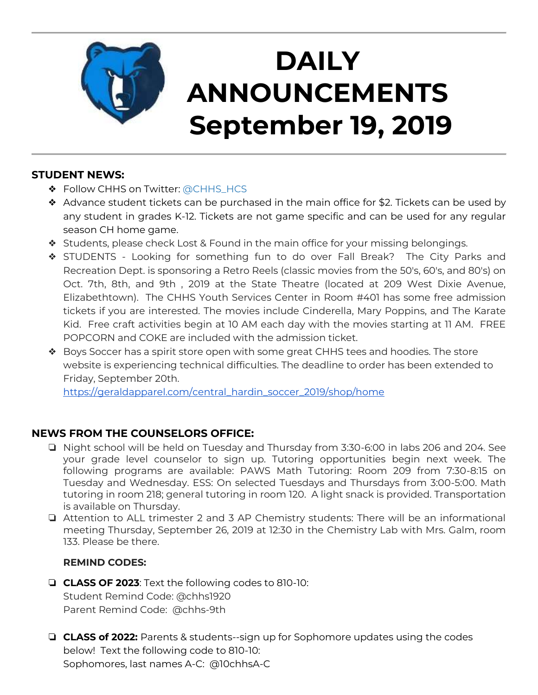

# **DAILY ANNOUNCEMENTS September 19, 2019**

### **STUDENT NEWS:**

- ❖ Follow CHHS on Twitter: [@CHHS\\_HCS](https://twitter.com/CHHS_HCS)
- ❖ Advance student tickets can be purchased in the main office for \$2. Tickets can be used by any student in grades K-12. Tickets are not game specific and can be used for any regular season CH home game.
- ❖ Students, please check Lost & Found in the main office for your missing belongings.
- ❖ STUDENTS Looking for something fun to do over Fall Break? The City Parks and Recreation Dept. is sponsoring a Retro Reels (classic movies from the 50's, 60's, and 80's) on Oct. 7th, 8th, and 9th , 2019 at the State Theatre (located at 209 West Dixie Avenue, Elizabethtown). The CHHS Youth Services Center in Room #401 has some free admission tickets if you are interested. The movies include Cinderella, Mary Poppins, and The Karate Kid. Free craft activities begin at 10 AM each day with the movies starting at 11 AM. FREE POPCORN and COKE are included with the admission ticket.
- ❖ Boys Soccer has a spirit store open with some great CHHS tees and hoodies. The store website is experiencing technical difficulties. The deadline to order has been extended to Friday, September 20th.

[https://geraldapparel.com/central\\_hardin\\_soccer\\_2019/shop/home](https://geraldapparel.com/central_hardin_soccer_2019/shop/home)

## **NEWS FROM THE COUNSELORS OFFICE:**

- ❏ Night school will be held on Tuesday and Thursday from 3:30-6:00 in labs 206 and 204. See your grade level counselor to sign up. Tutoring opportunities begin next week. The following programs are available: PAWS Math Tutoring: Room 209 from 7:30-8:15 on Tuesday and Wednesday. ESS: On selected Tuesdays and Thursdays from 3:00-5:00. Math tutoring in room 218; general tutoring in room 120. A light snack is provided. Transportation is available on Thursday.
- ❏ Attention to ALL trimester 2 and 3 AP Chemistry students: There will be an informational meeting Thursday, September 26, 2019 at 12:30 in the Chemistry Lab with Mrs. Galm, room 133. Please be there.

#### **REMIND CODES:**

- ❏ **CLASS OF 2023**: Text the following codes to 810-10: Student Remind Code: @chhs1920 Parent Remind Code: @chhs-9th
- ❏ **CLASS of 2022:** Parents & students--sign up for Sophomore updates using the codes below! Text the following code to 810-10: Sophomores, last names A-C: @10chhsA-C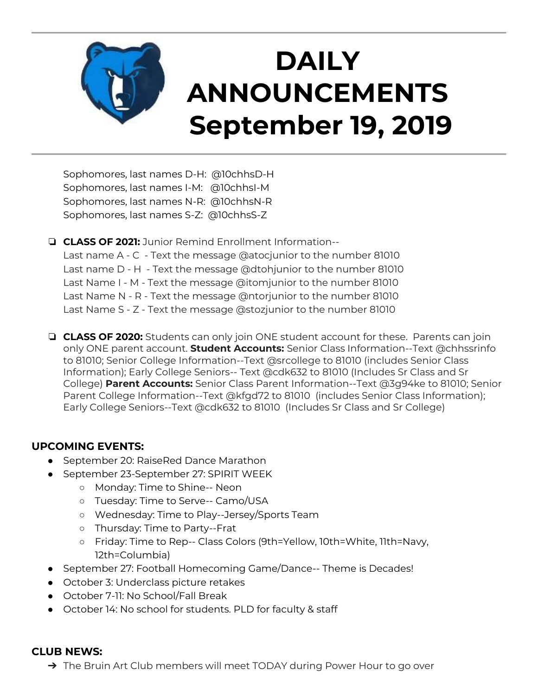

Sophomores, last names D-H: @10chhsD-H Sophomores, last names I-M: @10chhsI-M Sophomores, last names N-R: @10chhsN-R Sophomores, last names S-Z: @10chhsS-Z

❏ **CLASS OF 2021:** Junior Remind Enrollment Information--

Last name A - C - Text the message @atocjunior to the number 81010 Last name D - H - Text the message @dtohjunior to the number 81010 Last Name I - M - Text the message @itomjunior to the number 81010 Last Name N - R - Text the message @ntorjunior to the number 81010 Last Name S - Z - Text the message @stozjunior to the number 81010

❏ **CLASS OF 2020:** Students can only join ONE student account for these. Parents can join only ONE parent account. **Student Accounts:** Senior Class Information--Text @chhssrinfo to 81010; Senior College Information--Text @srcollege to 81010 (includes Senior Class Information); Early College Seniors-- Text @cdk632 to 81010 (Includes Sr Class and Sr College) **Parent Accounts:** Senior Class Parent Information--Text @3g94ke to 81010; Senior Parent College Information--Text @kfgd72 to 81010 (includes Senior Class Information); Early College Seniors--Text @cdk632 to 81010 (Includes Sr Class and Sr College)

#### **UPCOMING EVENTS:**

- September 20: RaiseRed Dance Marathon
- September 23-September 27: SPIRIT WEEK
	- Monday: Time to Shine-- Neon
	- Tuesday: Time to Serve-- Camo/USA
	- Wednesday: Time to Play--Jersey/Sports Team
	- Thursday: Time to Party--Frat
	- Friday: Time to Rep-- Class Colors (9th=Yellow, 10th=White, 11th=Navy, 12th=Columbia)
- September 27: Football Homecoming Game/Dance-- Theme is Decades!
- October 3: Underclass picture retakes
- October 7-11: No School/Fall Break
- October 14: No school for students. PLD for faculty & staff

#### **CLUB NEWS:**

→ The Bruin Art Club members will meet TODAY during Power Hour to go over